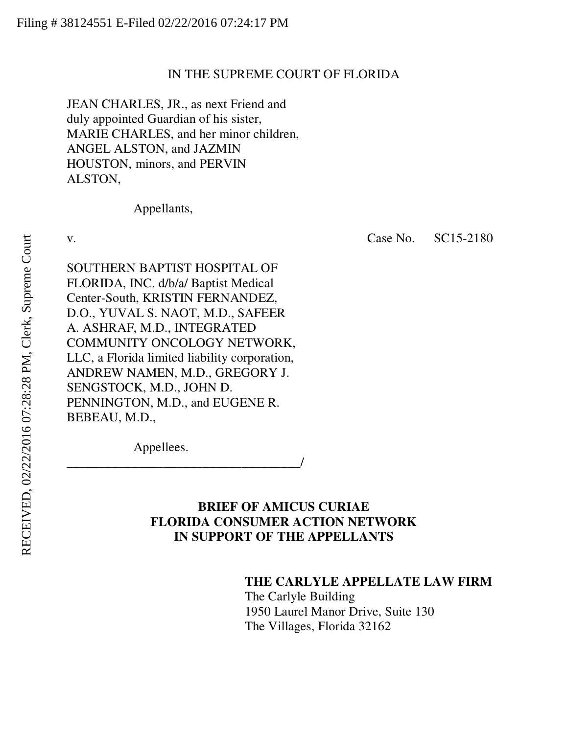### IN THE SUPREME COURT OF FLORIDA

JEAN CHARLES, JR., as next Friend and duly appointed Guardian of his sister, MARIE CHARLES, and her minor children, ANGEL ALSTON, and JAZMIN HOUSTON, minors, and PERVIN ALSTON,

Appellants,

v. Case No. SC15-2180

SOUTHERN BAPTIST HOSPITAL OF FLORIDA, INC. d/b/a/ Baptist Medical Center-South, KRISTIN FERNANDEZ, D.O., YUVAL S. NAOT, M.D., SAFEER A. ASHRAF, M.D., INTEGRATED COMMUNITY ONCOLOGY NETWORK, LLC, a Florida limited liability corporation, ANDREW NAMEN, M.D., GREGORY J. SENGSTOCK, M.D., JOHN D. PENNINGTON, M.D., and EUGENE R. BEBEAU, M.D.,

Appellees.

\_\_\_\_\_\_\_\_\_\_\_\_\_\_\_\_\_\_\_\_\_\_\_\_\_\_\_\_\_\_\_\_\_\_\_\_/

# **BRIEF OF AMICUS CURIAE FLORIDA CONSUMER ACTION NETWORK IN SUPPORT OF THE APPELLANTS**

### **THE CARLYLE APPELLATE LAW FIRM**

The Carlyle Building 1950 Laurel Manor Drive, Suite 130 The Villages, Florida 32162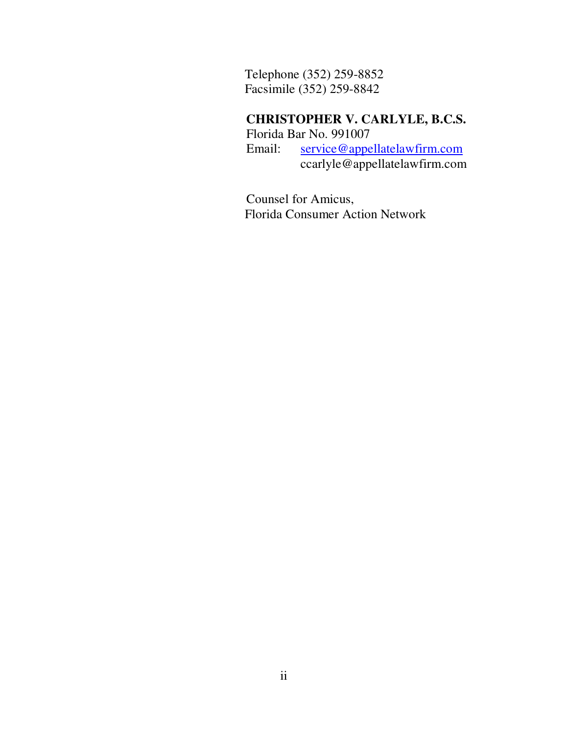Telephone (352) 259-8852 Facsimile (352) 259-8842

# **CHRISTOPHER V. CARLYLE, B.C.S.**

Florida Bar No. 991007<br>Email: service@appe service@appellatelawfirm.com ccarlyle@appellatelawfirm.com

Counsel for Amicus, Florida Consumer Action Network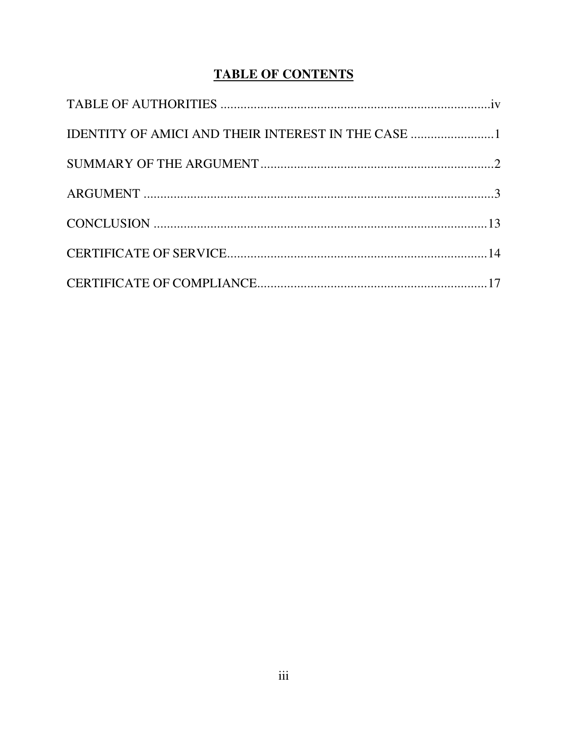# **TABLE OF CONTENTS**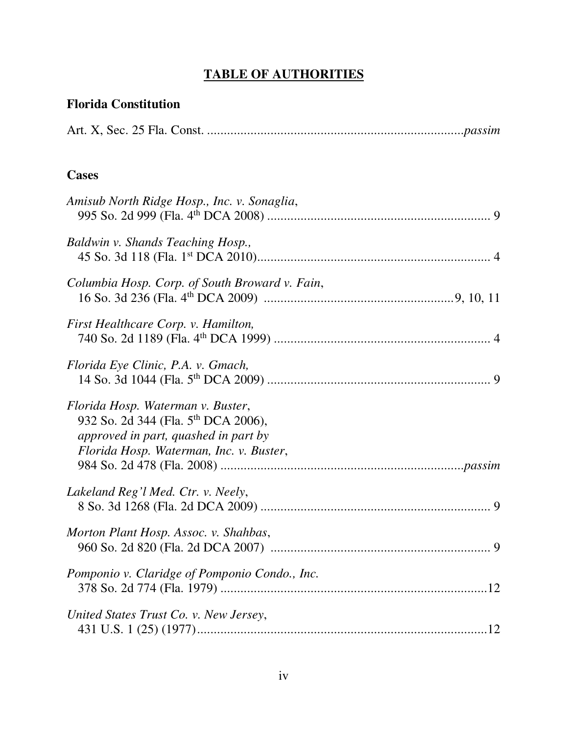# **TABLE OF AUTHORITIES**

| <b>Florida Constitution</b>                                                                                                                                             |
|-------------------------------------------------------------------------------------------------------------------------------------------------------------------------|
|                                                                                                                                                                         |
| <b>Cases</b>                                                                                                                                                            |
| Amisub North Ridge Hosp., Inc. v. Sonaglia,                                                                                                                             |
| Baldwin v. Shands Teaching Hosp.,                                                                                                                                       |
| Columbia Hosp. Corp. of South Broward v. Fain,                                                                                                                          |
| First Healthcare Corp. v. Hamilton,                                                                                                                                     |
| Florida Eye Clinic, P.A. v. Gmach,                                                                                                                                      |
| Florida Hosp. Waterman v. Buster,<br>932 So. 2d 344 (Fla. 5 <sup>th</sup> DCA 2006),<br>approved in part, quashed in part by<br>Florida Hosp. Waterman, Inc. v. Buster, |
| Lakeland Reg'l Med. Ctr. v. Neely,                                                                                                                                      |
| Morton Plant Hosp. Assoc. v. Shahbas,                                                                                                                                   |
| Pomponio v. Claridge of Pomponio Condo., Inc.                                                                                                                           |
| United States Trust Co. v. New Jersey,                                                                                                                                  |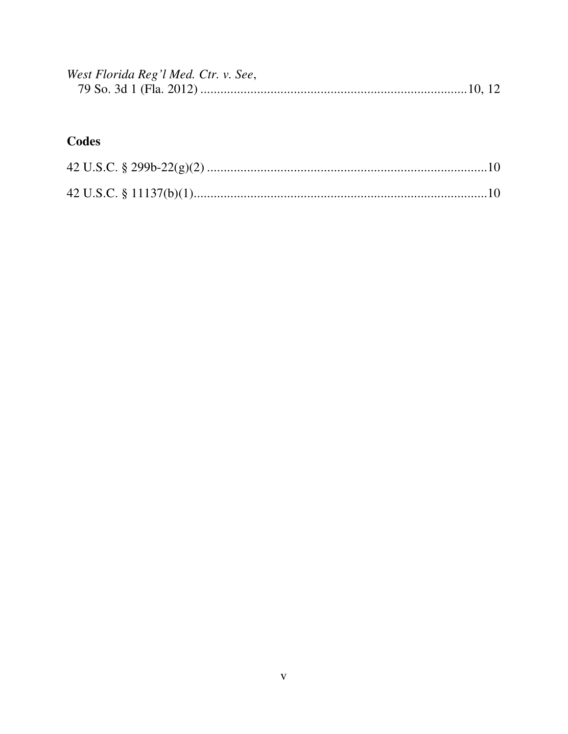| West Florida Reg'l Med. Ctr. v. See, |  |  |
|--------------------------------------|--|--|
|                                      |  |  |

# Codes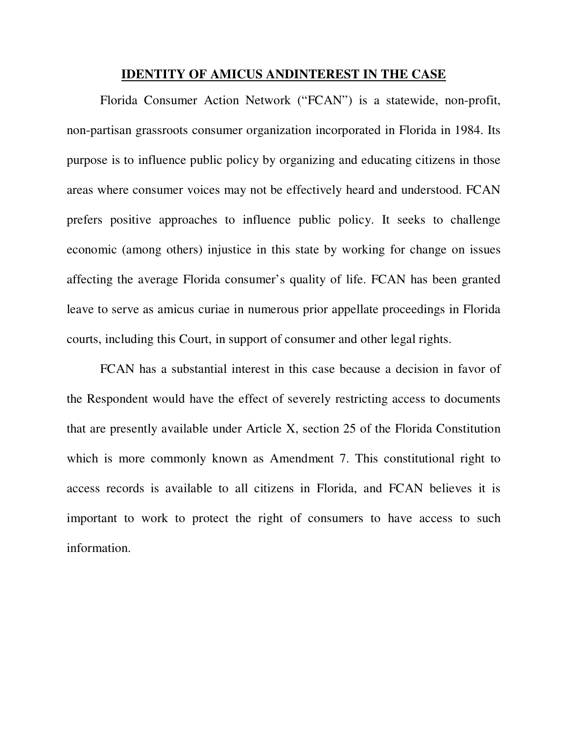#### **IDENTITY OF AMICUS ANDINTEREST IN THE CASE**

Florida Consumer Action Network ("FCAN") is a statewide, non-profit, non-partisan grassroots consumer organization incorporated in Florida in 1984. Its purpose is to influence public policy by organizing and educating citizens in those areas where consumer voices may not be effectively heard and understood. FCAN prefers positive approaches to influence public policy. It seeks to challenge economic (among others) injustice in this state by working for change on issues affecting the average Florida consumer's quality of life. FCAN has been granted leave to serve as amicus curiae in numerous prior appellate proceedings in Florida courts, including this Court, in support of consumer and other legal rights.

FCAN has a substantial interest in this case because a decision in favor of the Respondent would have the effect of severely restricting access to documents that are presently available under Article X, section 25 of the Florida Constitution which is more commonly known as Amendment 7. This constitutional right to access records is available to all citizens in Florida, and FCAN believes it is important to work to protect the right of consumers to have access to such information.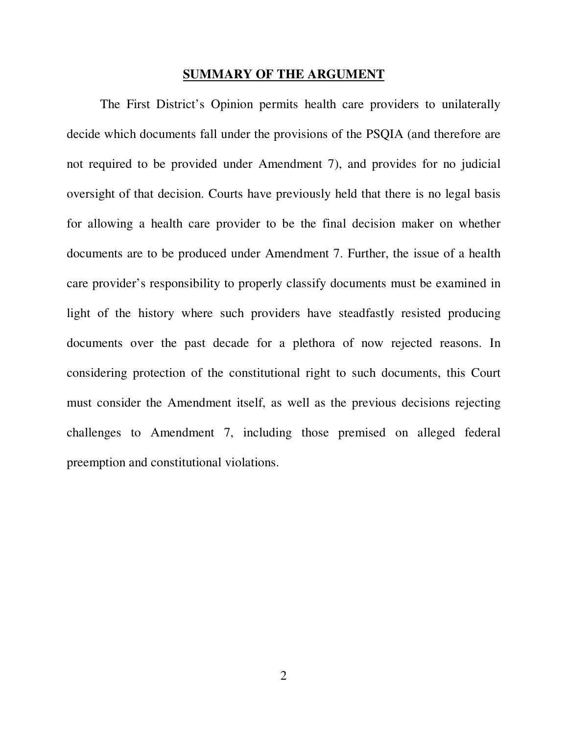#### **SUMMARY OF THE ARGUMENT**

The First District's Opinion permits health care providers to unilaterally decide which documents fall under the provisions of the PSQIA (and therefore are not required to be provided under Amendment 7), and provides for no judicial oversight of that decision. Courts have previously held that there is no legal basis for allowing a health care provider to be the final decision maker on whether documents are to be produced under Amendment 7. Further, the issue of a health care provider's responsibility to properly classify documents must be examined in light of the history where such providers have steadfastly resisted producing documents over the past decade for a plethora of now rejected reasons. In considering protection of the constitutional right to such documents, this Court must consider the Amendment itself, as well as the previous decisions rejecting challenges to Amendment 7, including those premised on alleged federal preemption and constitutional violations.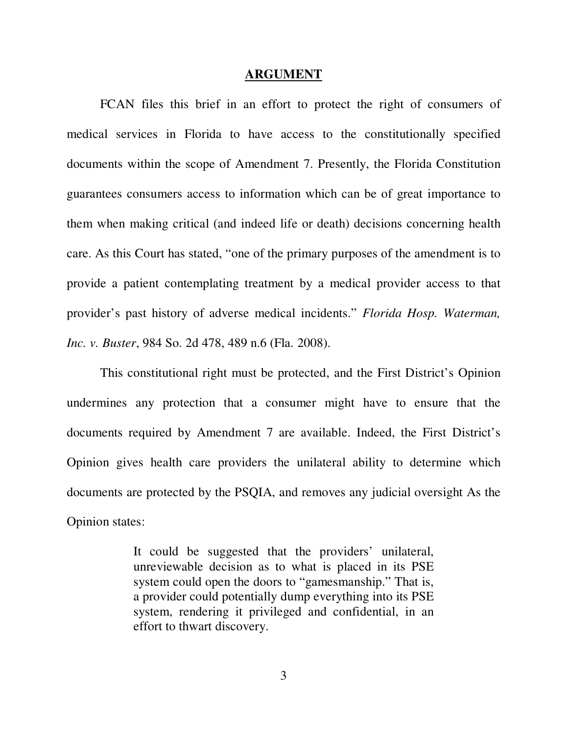#### **ARGUMENT**

FCAN files this brief in an effort to protect the right of consumers of medical services in Florida to have access to the constitutionally specified documents within the scope of Amendment 7. Presently, the Florida Constitution guarantees consumers access to information which can be of great importance to them when making critical (and indeed life or death) decisions concerning health care. As this Court has stated, "one of the primary purposes of the amendment is to provide a patient contemplating treatment by a medical provider access to that provider's past history of adverse medical incidents." *Florida Hosp. Waterman, Inc. v. Buster*, 984 So. 2d 478, 489 n.6 (Fla. 2008).

This constitutional right must be protected, and the First District's Opinion undermines any protection that a consumer might have to ensure that the documents required by Amendment 7 are available. Indeed, the First District's Opinion gives health care providers the unilateral ability to determine which documents are protected by the PSQIA, and removes any judicial oversight As the Opinion states:

> It could be suggested that the providers' unilateral, unreviewable decision as to what is placed in its PSE system could open the doors to "gamesmanship." That is, a provider could potentially dump everything into its PSE system, rendering it privileged and confidential, in an effort to thwart discovery.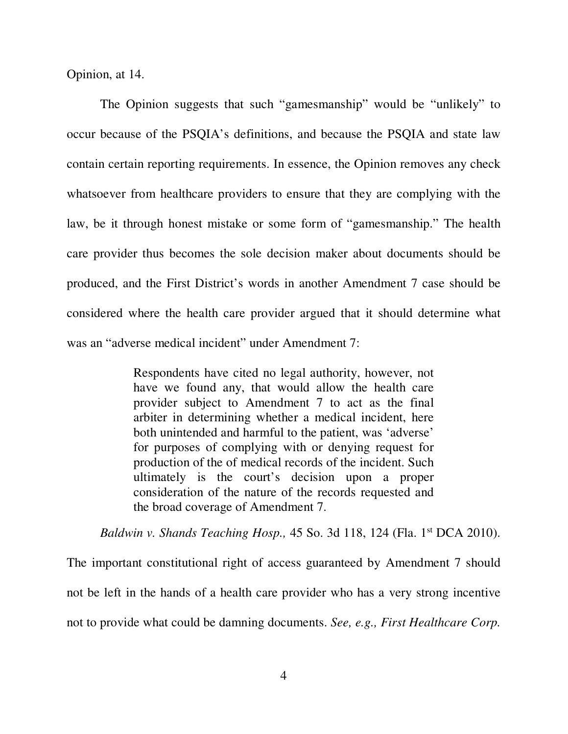Opinion, at 14.

The Opinion suggests that such "gamesmanship" would be "unlikely" to occur because of the PSQIA's definitions, and because the PSQIA and state law contain certain reporting requirements. In essence, the Opinion removes any check whatsoever from healthcare providers to ensure that they are complying with the law, be it through honest mistake or some form of "gamesmanship." The health care provider thus becomes the sole decision maker about documents should be produced, and the First District's words in another Amendment 7 case should be considered where the health care provider argued that it should determine what was an "adverse medical incident" under Amendment 7:

> Respondents have cited no legal authority, however, not have we found any, that would allow the health care provider subject to Amendment 7 to act as the final arbiter in determining whether a medical incident, here both unintended and harmful to the patient, was 'adverse' for purposes of complying with or denying request for production of the of medical records of the incident. Such ultimately is the court's decision upon a proper consideration of the nature of the records requested and the broad coverage of Amendment 7.

*Baldwin v. Shands Teaching Hosp.,* 45 So. 3d 118, 124 (Fla. 1st DCA 2010).

The important constitutional right of access guaranteed by Amendment 7 should not be left in the hands of a health care provider who has a very strong incentive not to provide what could be damning documents. *See, e.g., First Healthcare Corp.*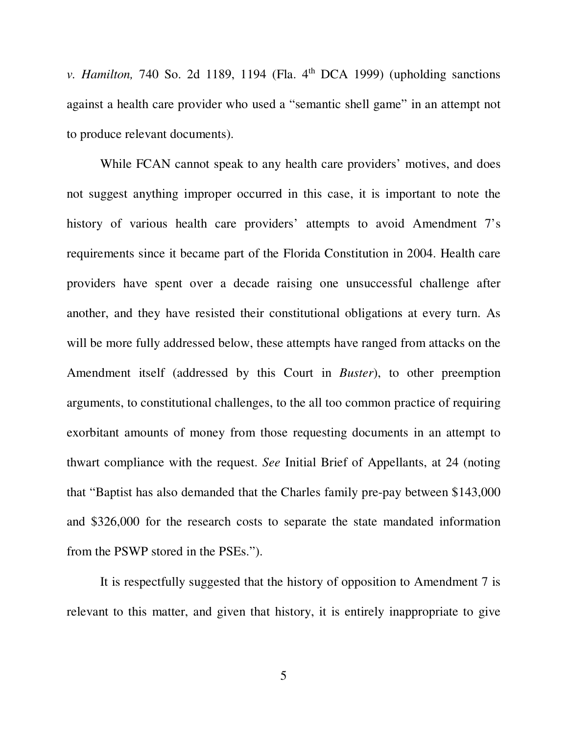*v. Hamilton,* 740 So. 2d 1189, 1194 (Fla. 4<sup>th</sup> DCA 1999) (upholding sanctions against a health care provider who used a "semantic shell game" in an attempt not to produce relevant documents).

 While FCAN cannot speak to any health care providers' motives, and does not suggest anything improper occurred in this case, it is important to note the history of various health care providers' attempts to avoid Amendment 7's requirements since it became part of the Florida Constitution in 2004. Health care providers have spent over a decade raising one unsuccessful challenge after another, and they have resisted their constitutional obligations at every turn. As will be more fully addressed below, these attempts have ranged from attacks on the Amendment itself (addressed by this Court in *Buster*), to other preemption arguments, to constitutional challenges, to the all too common practice of requiring exorbitant amounts of money from those requesting documents in an attempt to thwart compliance with the request. *See* Initial Brief of Appellants, at 24 (noting that "Baptist has also demanded that the Charles family pre-pay between \$143,000 and \$326,000 for the research costs to separate the state mandated information from the PSWP stored in the PSEs.").

It is respectfully suggested that the history of opposition to Amendment 7 is relevant to this matter, and given that history, it is entirely inappropriate to give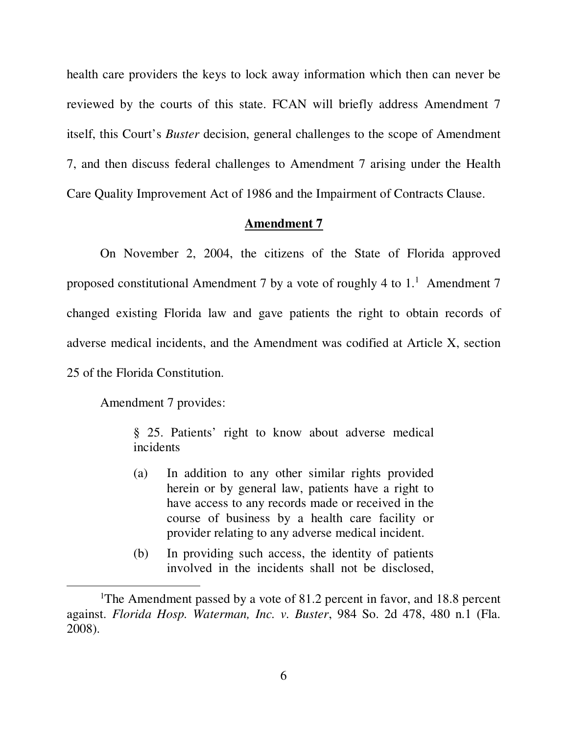health care providers the keys to lock away information which then can never be reviewed by the courts of this state. FCAN will briefly address Amendment 7 itself, this Court's *Buster* decision, general challenges to the scope of Amendment 7, and then discuss federal challenges to Amendment 7 arising under the Health Care Quality Improvement Act of 1986 and the Impairment of Contracts Clause.

### **Amendment 7**

On November 2, 2004, the citizens of the State of Florida approved proposed constitutional Amendment 7 by a vote of roughly 4 to  $1<sup>1</sup>$ . Amendment 7 changed existing Florida law and gave patients the right to obtain records of adverse medical incidents, and the Amendment was codified at Article X, section 25 of the Florida Constitution.

Amendment 7 provides:

 $\overline{a}$ 

§ 25. Patients' right to know about adverse medical incidents

- (a) In addition to any other similar rights provided herein or by general law, patients have a right to have access to any records made or received in the course of business by a health care facility or provider relating to any adverse medical incident.
- (b) In providing such access, the identity of patients involved in the incidents shall not be disclosed,

<sup>&</sup>lt;sup>1</sup>The Amendment passed by a vote of 81.2 percent in favor, and 18.8 percent against. *Florida Hosp. Waterman, Inc. v. Buster*, 984 So. 2d 478, 480 n.1 (Fla. 2008).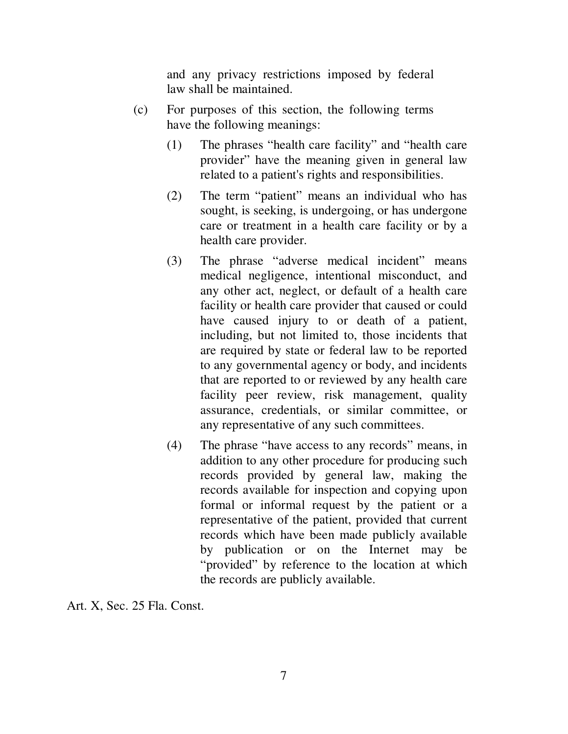and any privacy restrictions imposed by federal law shall be maintained.

- (c) For purposes of this section, the following terms have the following meanings:
	- (1) The phrases "health care facility" and "health care provider" have the meaning given in general law related to a patient's rights and responsibilities.
	- (2) The term "patient" means an individual who has sought, is seeking, is undergoing, or has undergone care or treatment in a health care facility or by a health care provider.
	- (3) The phrase "adverse medical incident" means medical negligence, intentional misconduct, and any other act, neglect, or default of a health care facility or health care provider that caused or could have caused injury to or death of a patient, including, but not limited to, those incidents that are required by state or federal law to be reported to any governmental agency or body, and incidents that are reported to or reviewed by any health care facility peer review, risk management, quality assurance, credentials, or similar committee, or any representative of any such committees.
	- (4) The phrase "have access to any records" means, in addition to any other procedure for producing such records provided by general law, making the records available for inspection and copying upon formal or informal request by the patient or a representative of the patient, provided that current records which have been made publicly available by publication or on the Internet may be "provided" by reference to the location at which the records are publicly available.

Art. X, Sec. 25 Fla. Const.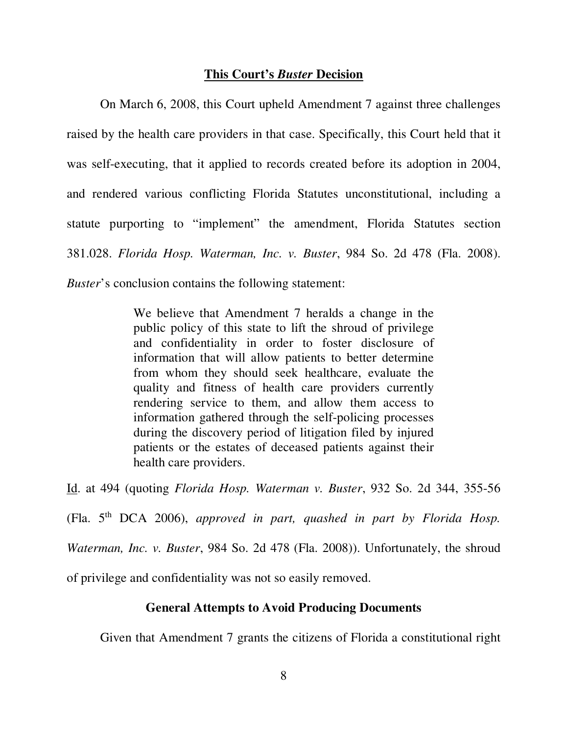### **This Court's** *Buster* **Decision**

On March 6, 2008, this Court upheld Amendment 7 against three challenges raised by the health care providers in that case. Specifically, this Court held that it was self-executing, that it applied to records created before its adoption in 2004, and rendered various conflicting Florida Statutes unconstitutional, including a statute purporting to "implement" the amendment, Florida Statutes section 381.028. *Florida Hosp. Waterman, Inc. v. Buster*, 984 So. 2d 478 (Fla. 2008). *Buster*'s conclusion contains the following statement:

> We believe that Amendment 7 heralds a change in the public policy of this state to lift the shroud of privilege and confidentiality in order to foster disclosure of information that will allow patients to better determine from whom they should seek healthcare, evaluate the quality and fitness of health care providers currently rendering service to them, and allow them access to information gathered through the self-policing processes during the discovery period of litigation filed by injured patients or the estates of deceased patients against their health care providers.

Id. at 494 (quoting *Florida Hosp. Waterman v. Buster*, 932 So. 2d 344, 355-56

(Fla. 5th DCA 2006), *approved in part, quashed in part by Florida Hosp.* 

*Waterman, Inc. v. Buster*, 984 So. 2d 478 (Fla. 2008)). Unfortunately, the shroud

of privilege and confidentiality was not so easily removed.

# **General Attempts to Avoid Producing Documents**

Given that Amendment 7 grants the citizens of Florida a constitutional right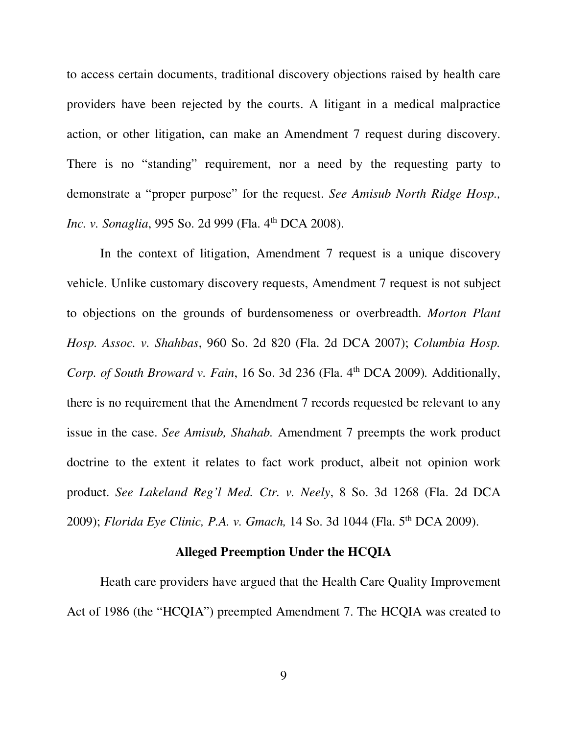to access certain documents, traditional discovery objections raised by health care providers have been rejected by the courts. A litigant in a medical malpractice action, or other litigation, can make an Amendment 7 request during discovery. There is no "standing" requirement, nor a need by the requesting party to demonstrate a "proper purpose" for the request. *See Amisub North Ridge Hosp., Inc. v. Sonaglia*, 995 So. 2d 999 (Fla. 4<sup>th</sup> DCA 2008).

In the context of litigation, Amendment 7 request is a unique discovery vehicle. Unlike customary discovery requests, Amendment 7 request is not subject to objections on the grounds of burdensomeness or overbreadth. *Morton Plant Hosp. Assoc. v. Shahbas*, 960 So. 2d 820 (Fla. 2d DCA 2007); *Columbia Hosp. Corp. of South Broward v. Fain, 16 So. 3d 236 (Fla. 4<sup>th</sup> DCA 2009). Additionally,* there is no requirement that the Amendment 7 records requested be relevant to any issue in the case. *See Amisub, Shahab.* Amendment 7 preempts the work product doctrine to the extent it relates to fact work product, albeit not opinion work product. *See Lakeland Reg'l Med. Ctr. v. Neely*, 8 So. 3d 1268 (Fla. 2d DCA 2009); *Florida Eye Clinic, P.A. v. Gmach,* 14 So. 3d 1044 (Fla. 5th DCA 2009).

# **Alleged Preemption Under the HCQIA**

Heath care providers have argued that the Health Care Quality Improvement Act of 1986 (the "HCQIA") preempted Amendment 7. The HCQIA was created to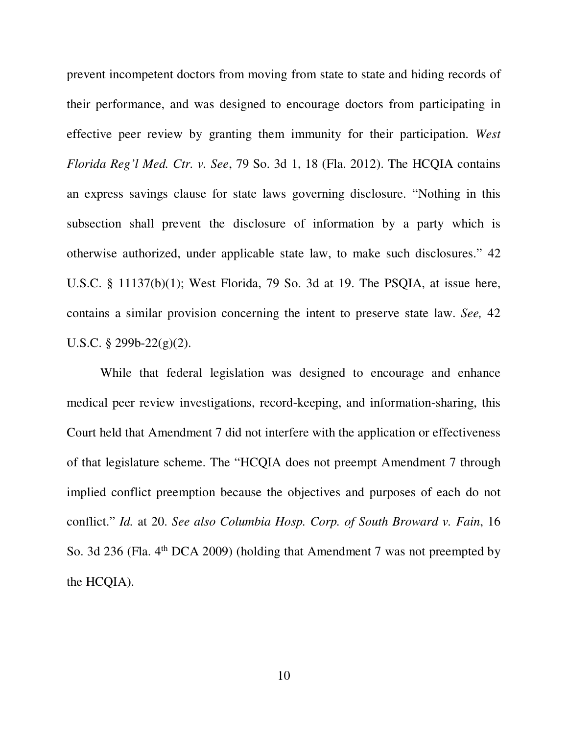prevent incompetent doctors from moving from state to state and hiding records of their performance, and was designed to encourage doctors from participating in effective peer review by granting them immunity for their participation. *West Florida Reg'l Med. Ctr. v. See*, 79 So. 3d 1, 18 (Fla. 2012). The HCQIA contains an express savings clause for state laws governing disclosure. "Nothing in this subsection shall prevent the disclosure of information by a party which is otherwise authorized, under applicable state law, to make such disclosures." 42 U.S.C. § 11137(b)(1); West Florida, 79 So. 3d at 19. The PSQIA, at issue here, contains a similar provision concerning the intent to preserve state law. *See,* 42 U.S.C. § 299b-22(g)(2).

While that federal legislation was designed to encourage and enhance medical peer review investigations, record-keeping, and information-sharing, this Court held that Amendment 7 did not interfere with the application or effectiveness of that legislature scheme. The "HCQIA does not preempt Amendment 7 through implied conflict preemption because the objectives and purposes of each do not conflict." *Id.* at 20. *See also Columbia Hosp. Corp. of South Broward v. Fain*, 16 So. 3d 236 (Fla.  $4<sup>th</sup> DCA$  2009) (holding that Amendment 7 was not preempted by the HCQIA).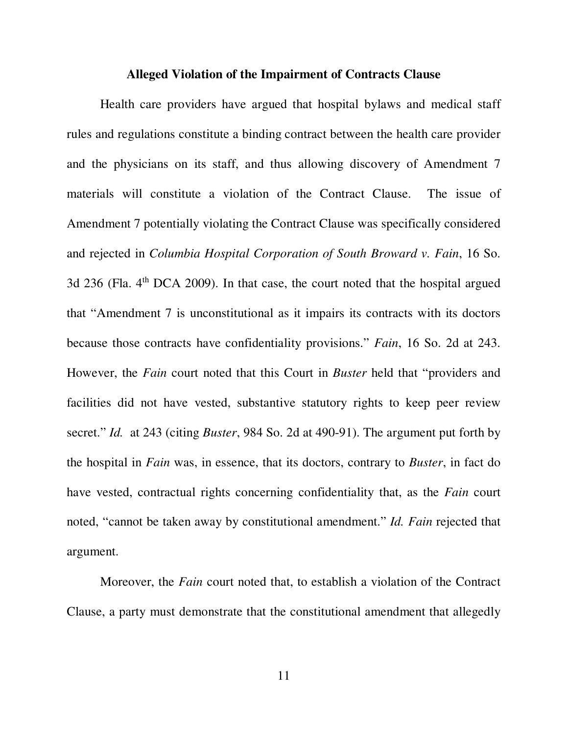#### **Alleged Violation of the Impairment of Contracts Clause**

Health care providers have argued that hospital bylaws and medical staff rules and regulations constitute a binding contract between the health care provider and the physicians on its staff, and thus allowing discovery of Amendment 7 materials will constitute a violation of the Contract Clause. The issue of Amendment 7 potentially violating the Contract Clause was specifically considered and rejected in *Columbia Hospital Corporation of South Broward v. Fain*, 16 So. 3d 236 (Fla. 4<sup>th</sup> DCA 2009). In that case, the court noted that the hospital argued that "Amendment 7 is unconstitutional as it impairs its contracts with its doctors because those contracts have confidentiality provisions." *Fain*, 16 So. 2d at 243. However, the *Fain* court noted that this Court in *Buster* held that "providers and facilities did not have vested, substantive statutory rights to keep peer review secret." *Id.* at 243 (citing *Buster*, 984 So. 2d at 490-91). The argument put forth by the hospital in *Fain* was, in essence, that its doctors, contrary to *Buster*, in fact do have vested, contractual rights concerning confidentiality that, as the *Fain* court noted, "cannot be taken away by constitutional amendment." *Id. Fain* rejected that argument.

Moreover, the *Fain* court noted that, to establish a violation of the Contract Clause, a party must demonstrate that the constitutional amendment that allegedly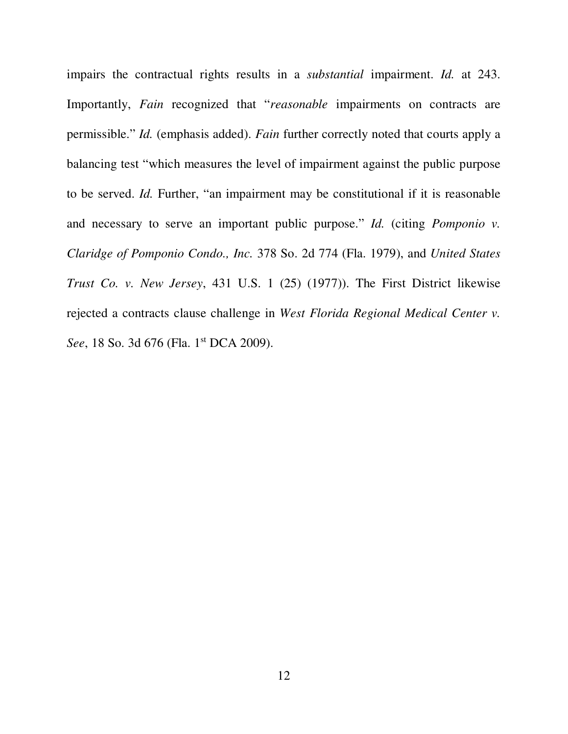impairs the contractual rights results in a *substantial* impairment. *Id.* at 243. Importantly, *Fain* recognized that "*reasonable* impairments on contracts are permissible." *Id.* (emphasis added). *Fain* further correctly noted that courts apply a balancing test "which measures the level of impairment against the public purpose to be served. *Id.* Further, "an impairment may be constitutional if it is reasonable and necessary to serve an important public purpose." *Id.* (citing *Pomponio v. Claridge of Pomponio Condo., Inc.* 378 So. 2d 774 (Fla. 1979), and *United States Trust Co. v. New Jersey*, 431 U.S. 1 (25) (1977)). The First District likewise rejected a contracts clause challenge in *West Florida Regional Medical Center v.*  See, 18 So. 3d 676 (Fla. 1<sup>st</sup> DCA 2009).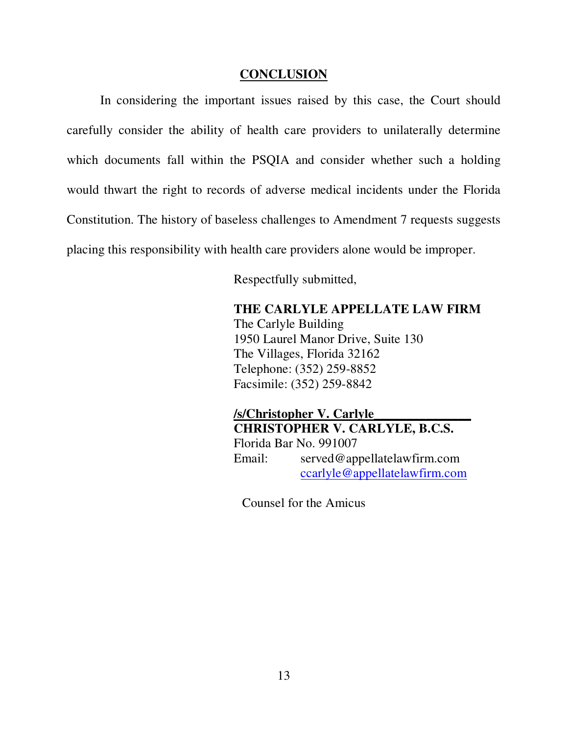### **CONCLUSION**

In considering the important issues raised by this case, the Court should carefully consider the ability of health care providers to unilaterally determine which documents fall within the PSQIA and consider whether such a holding would thwart the right to records of adverse medical incidents under the Florida Constitution. The history of baseless challenges to Amendment 7 requests suggests placing this responsibility with health care providers alone would be improper.

Respectfully submitted,

## **THE CARLYLE APPELLATE LAW FIRM**

The Carlyle Building 1950 Laurel Manor Drive, Suite 130 The Villages, Florida 32162 Telephone: (352) 259-8852 Facsimile: (352) 259-8842

**/s/Christopher V. Carlyle\_\_\_\_\_\_\_\_\_\_\_\_\_\_\_ CHRISTOPHER V. CARLYLE, B.C.S.**  Florida Bar No. 991007 Email: served@appellatelawfirm.com ccarlyle@appellatelawfirm.com

Counsel for the Amicus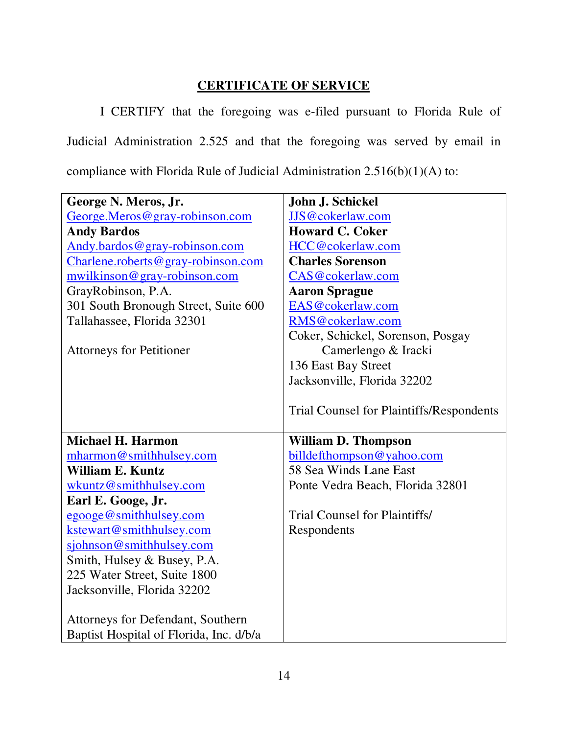# **CERTIFICATE OF SERVICE**

 I CERTIFY that the foregoing was e-filed pursuant to Florida Rule of Judicial Administration 2.525 and that the foregoing was served by email in compliance with Florida Rule of Judicial Administration 2.516(b)(1)(A) to:

| George N. Meros, Jr.                     | John J. Schickel                         |
|------------------------------------------|------------------------------------------|
| George.Meros@gray-robinson.com           | JJS@cokerlaw.com                         |
| <b>Andy Bardos</b>                       | <b>Howard C. Coker</b>                   |
| Andy.bardos@gray-robinson.com            | HCC@cokerlaw.com                         |
| Charlene.roberts@gray-robinson.com       | <b>Charles Sorenson</b>                  |
| mwilkinson@gray-robinson.com             | CAS@cokerlaw.com                         |
| GrayRobinson, P.A.                       | <b>Aaron Sprague</b>                     |
| 301 South Bronough Street, Suite 600     | EAS@cokerlaw.com                         |
| Tallahassee, Florida 32301               | RMS@cokerlaw.com                         |
|                                          | Coker, Schickel, Sorenson, Posgay        |
| <b>Attorneys for Petitioner</b>          | Camerlengo & Iracki                      |
|                                          | 136 East Bay Street                      |
|                                          | Jacksonville, Florida 32202              |
|                                          |                                          |
|                                          | Trial Counsel for Plaintiffs/Respondents |
|                                          |                                          |
| <b>Michael H. Harmon</b>                 | <b>William D. Thompson</b>               |
| mharmon@smithhulsey.com                  | billdefthompson@yahoo.com                |
| William E. Kuntz                         | 58 Sea Winds Lane East                   |
| wkuntz@smithhulsey.com                   | Ponte Vedra Beach, Florida 32801         |
| Earl E. Googe, Jr.                       |                                          |
| egooge@smithhulsey.com                   | <b>Trial Counsel for Plaintiffs/</b>     |
| kstewart@smithhulsey.com                 |                                          |
|                                          | Respondents                              |
| sjohnson@smithhulsey.com                 |                                          |
| Smith, Hulsey & Busey, P.A.              |                                          |
| 225 Water Street, Suite 1800             |                                          |
| Jacksonville, Florida 32202              |                                          |
|                                          |                                          |
| <b>Attorneys for Defendant, Southern</b> |                                          |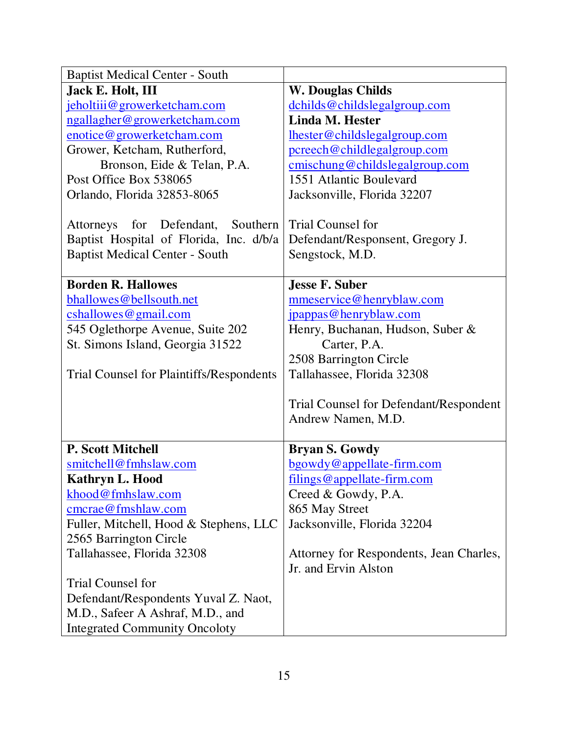| <b>Baptist Medical Center - South</b>           |                                         |
|-------------------------------------------------|-----------------------------------------|
| <b>Jack E. Holt, III</b>                        | <b>W. Douglas Childs</b>                |
| jeholtiii@growerketcham.com                     | dchilds@childslegalgroup.com            |
| ngallagher@growerketcham.com                    | <b>Linda M. Hester</b>                  |
| enotice@growerketcham.com                       | lhester@childslegalgroup.com            |
| Grower, Ketcham, Rutherford,                    | pcreech@childlegalgroup.com             |
| Bronson, Eide & Telan, P.A.                     | cmischung@childslegalgroup.com          |
| Post Office Box 538065                          | 1551 Atlantic Boulevard                 |
| Orlando, Florida 32853-8065                     | Jacksonville, Florida 32207             |
|                                                 |                                         |
| Attorneys for Defendant,<br>Southern            | <b>Trial Counsel for</b>                |
| Baptist Hospital of Florida, Inc. d/b/a         | Defendant/Responsent, Gregory J.        |
| <b>Baptist Medical Center - South</b>           | Sengstock, M.D.                         |
|                                                 |                                         |
| <b>Borden R. Hallowes</b>                       | Jesse F. Suber                          |
| bhallowes@bellsouth.net                         | mmeservice@henryblaw.com                |
| cshallowes@gmail.com                            | jpappas@henryblaw.com                   |
| 545 Oglethorpe Avenue, Suite 202                | Henry, Buchanan, Hudson, Suber &        |
| St. Simons Island, Georgia 31522                | Carter, P.A.                            |
|                                                 | 2508 Barrington Circle                  |
| <b>Trial Counsel for Plaintiffs/Respondents</b> | Tallahassee, Florida 32308              |
|                                                 |                                         |
|                                                 | Trial Counsel for Defendant/Respondent  |
|                                                 | Andrew Namen, M.D.                      |
|                                                 |                                         |
| <b>P. Scott Mitchell</b>                        | <b>Bryan S. Gowdy</b>                   |
| smitchell@fmhslaw.com                           | bgowdy@appellate-firm.com               |
| Kathryn L. Hood                                 | filings@appellate-firm.com              |
| khood@fmhslaw.com                               | Creed & Gowdy, P.A.                     |
| cmcrae@fmshlaw.com                              | 865 May Street                          |
| Fuller, Mitchell, Hood & Stephens, LLC          | Jacksonville, Florida 32204             |
| 2565 Barrington Circle                          |                                         |
| Tallahassee, Florida 32308                      | Attorney for Respondents, Jean Charles, |
|                                                 | Jr. and Ervin Alston                    |
| Trial Counsel for                               |                                         |
| Defendant/Respondents Yuval Z. Naot,            |                                         |
| M.D., Safeer A Ashraf, M.D., and                |                                         |
| <b>Integrated Community Oncoloty</b>            |                                         |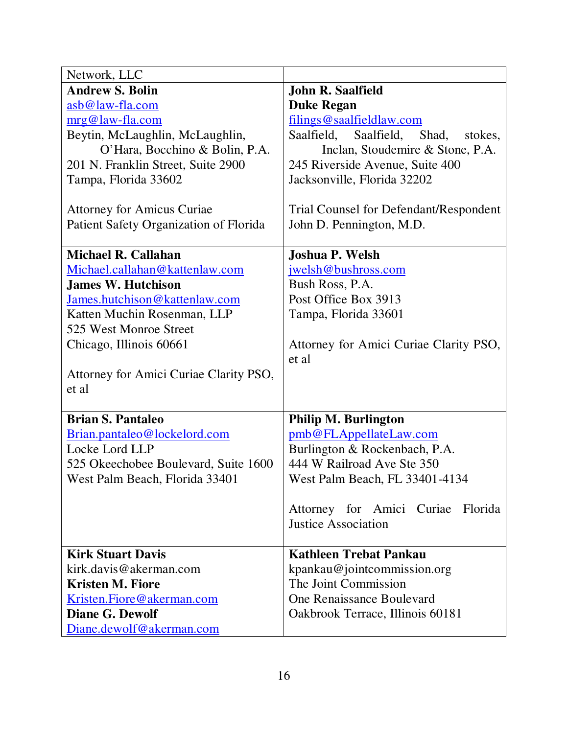| Network, LLC                           |                                               |
|----------------------------------------|-----------------------------------------------|
| <b>Andrew S. Bolin</b>                 | <b>John R. Saalfield</b>                      |
| asb@law-fla.com                        | <b>Duke Regan</b>                             |
| mrg@law-fla.com                        | filings@saalfieldlaw.com                      |
| Beytin, McLaughlin, McLaughlin,        | Saalfield,<br>Saalfield,<br>Shad,<br>stokes,  |
| O'Hara, Bocchino & Bolin, P.A.         | Inclan, Stoudemire & Stone, P.A.              |
| 201 N. Franklin Street, Suite 2900     | 245 Riverside Avenue, Suite 400               |
| Tampa, Florida 33602                   | Jacksonville, Florida 32202                   |
|                                        |                                               |
| <b>Attorney for Amicus Curiae</b>      | <b>Trial Counsel for Defendant/Respondent</b> |
| Patient Safety Organization of Florida | John D. Pennington, M.D.                      |
|                                        |                                               |
| <b>Michael R. Callahan</b>             | Joshua P. Welsh                               |
| Michael.callahan@kattenlaw.com         | jwelsh@bushross.com                           |
| <b>James W. Hutchison</b>              | Bush Ross, P.A.                               |
| James.hutchison@kattenlaw.com          | Post Office Box 3913                          |
| Katten Muchin Rosenman, LLP            | Tampa, Florida 33601                          |
| 525 West Monroe Street                 |                                               |
| Chicago, Illinois 60661                | Attorney for Amici Curiae Clarity PSO,        |
|                                        | et al                                         |
| Attorney for Amici Curiae Clarity PSO, |                                               |
| et al                                  |                                               |
|                                        |                                               |
| <b>Brian S. Pantaleo</b>               | <b>Philip M. Burlington</b>                   |
| Brian.pantaleo@lockelord.com           | pmb@FLAppellateLaw.com                        |
| Locke Lord LLP                         | Burlington & Rockenbach, P.A.                 |
| 525 Okeechobee Boulevard, Suite 1600   | 444 W Railroad Ave Ste 350                    |
| West Palm Beach, Florida 33401         | West Palm Beach, FL 33401-4134                |
|                                        |                                               |
|                                        | Attorney for Amici Curiae Florida             |
|                                        | <b>Justice Association</b>                    |
|                                        |                                               |
| <b>Kirk Stuart Davis</b>               | <b>Kathleen Trebat Pankau</b>                 |
| kirk.davis@akerman.com                 | kpankau@jointcommission.org                   |
| <b>Kristen M. Fiore</b>                | The Joint Commission                          |
| Kristen.Fiore@akerman.com              | One Renaissance Boulevard                     |
| <b>Diane G. Dewolf</b>                 | Oakbrook Terrace, Illinois 60181              |
| Diane.dewolf@akerman.com               |                                               |